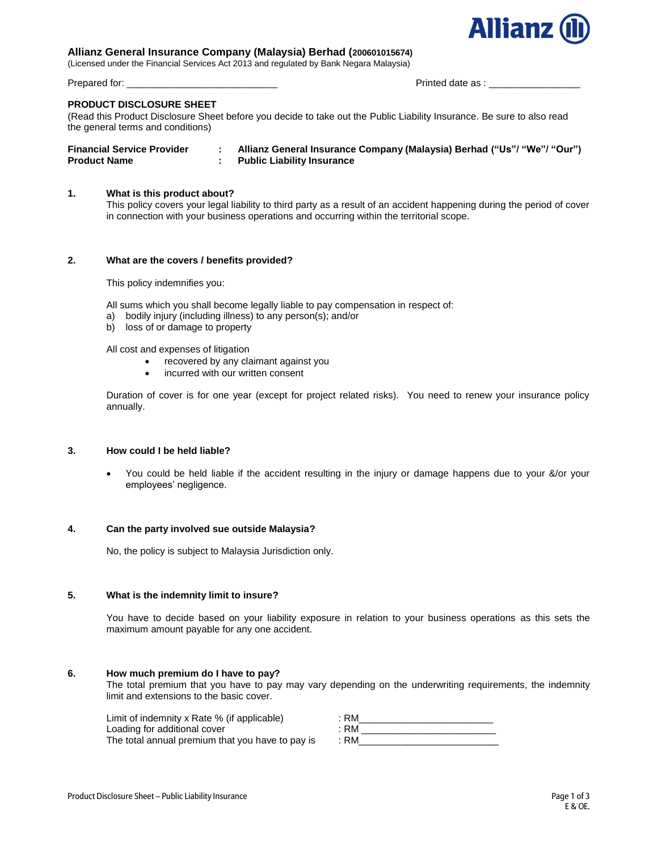

# **Allianz General Insurance Company (Malaysia) Berhad (200601015674)**

(Licensed under the Financial Services Act 2013 and regulated by Bank Negara Malaysia)

Prepared for: \_\_\_\_\_\_\_\_\_\_\_\_\_\_\_\_\_\_\_\_\_\_\_\_\_\_\_\_ Printed date as : \_\_\_\_\_\_\_\_\_\_\_\_\_\_\_\_\_

#### **PRODUCT DISCLOSURE SHEET**

(Read this Product Disclosure Sheet before you decide to take out the Public Liability Insurance. Be sure to also read the general terms and conditions)

| <b>Financial Service Provider</b> | Allianz General Insurance Company (Malaysia) Berhad ("Us"/ "We"/ "Our") |
|-----------------------------------|-------------------------------------------------------------------------|
| <b>Product Name</b>               | <b>Public Liability Insurance</b>                                       |

# **1. What is this product about?**

This policy covers your legal liability to third party as a result of an accident happening during the period of cover in connection with your business operations and occurring within the territorial scope.

## **2. What are the covers / benefits provided?**

This policy indemnifies you:

All sums which you shall become legally liable to pay compensation in respect of:

- a) bodily injury (including illness) to any person(s); and/or
- b) loss of or damage to property

All cost and expenses of litigation

- recovered by any claimant against you
- incurred with our written consent

Duration of cover is for one year (except for project related risks). You need to renew your insurance policy annually.

# **3. How could I be held liable?**

You could be held liable if the accident resulting in the injury or damage happens due to your &/or your employees' negligence.

# **4. Can the party involved sue outside Malaysia?**

No, the policy is subject to Malaysia Jurisdiction only.

# **5. What is the indemnity limit to insure?**

You have to decide based on your liability exposure in relation to your business operations as this sets the maximum amount payable for any one accident.

# **6. How much premium do I have to pay?**

The total premium that you have to pay may vary depending on the underwriting requirements, the indemnity limit and extensions to the basic cover.

| Limit of indemnity x Rate % (if applicable)      | RM   |
|--------------------------------------------------|------|
| Loading for additional cover                     | RM   |
| The total annual premium that you have to pay is | : RM |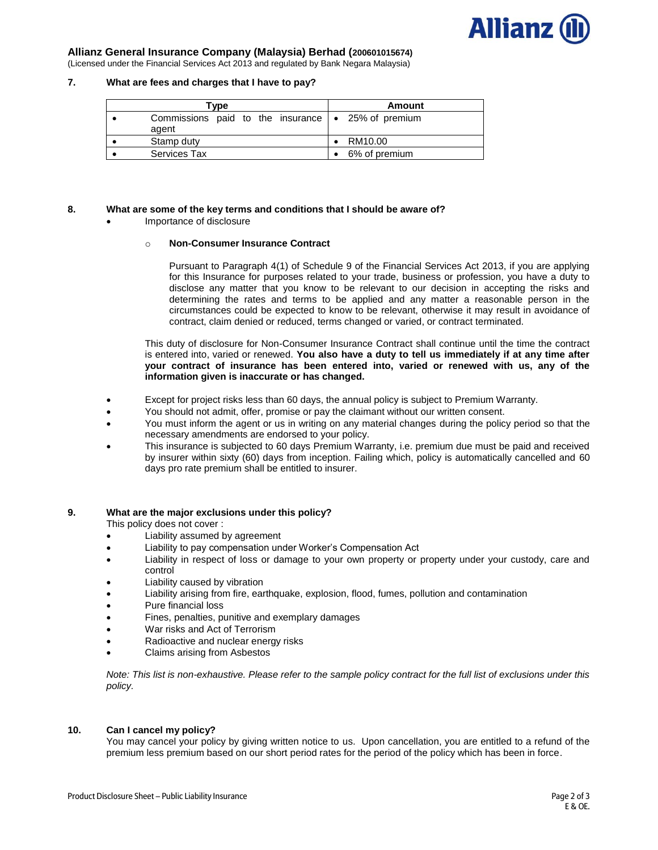

# **Allianz General Insurance Company (Malaysia) Berhad (200601015674)**

(Licensed under the Financial Services Act 2013 and regulated by Bank Negara Malaysia)

### **7. What are fees and charges that I have to pay?**

| Tvpe                                                                | Amount |               |  |
|---------------------------------------------------------------------|--------|---------------|--|
| Commissions paid to the insurance $\bullet$ 25% of premium<br>agent |        |               |  |
| Stamp duty                                                          |        | RM10.00       |  |
| <b>Services Tax</b>                                                 |        | 6% of premium |  |

## **8. What are some of the key terms and conditions that I should be aware of?**

Importance of disclosure

#### o **Non-Consumer Insurance Contract**

Pursuant to Paragraph 4(1) of Schedule 9 of the Financial Services Act 2013, if you are applying for this Insurance for purposes related to your trade, business or profession, you have a duty to disclose any matter that you know to be relevant to our decision in accepting the risks and determining the rates and terms to be applied and any matter a reasonable person in the circumstances could be expected to know to be relevant, otherwise it may result in avoidance of contract, claim denied or reduced, terms changed or varied, or contract terminated.

This duty of disclosure for Non-Consumer Insurance Contract shall continue until the time the contract is entered into, varied or renewed. **You also have a duty to tell us immediately if at any time after your contract of insurance has been entered into, varied or renewed with us, any of the information given is inaccurate or has changed.**

- Except for project risks less than 60 days, the annual policy is subject to Premium Warranty.
- You should not admit, offer, promise or pay the claimant without our written consent.
- You must inform the agent or us in writing on any material changes during the policy period so that the necessary amendments are endorsed to your policy.
- This insurance is subjected to 60 days Premium Warranty, i.e. premium due must be paid and received by insurer within sixty (60) days from inception. Failing which, policy is automatically cancelled and 60 days pro rate premium shall be entitled to insurer.

#### **9. What are the major exclusions under this policy?**

This policy does not cover :

- Liability assumed by agreement
- Liability to pay compensation under Worker's Compensation Act
- Liability in respect of loss or damage to your own property or property under your custody, care and control
- Liability caused by vibration
- Liability arising from fire, earthquake, explosion, flood, fumes, pollution and contamination
- Pure financial loss
- Fines, penalties, punitive and exemplary damages
- War risks and Act of Terrorism
- Radioactive and nuclear energy risks
- Claims arising from Asbestos

*Note: This list is non-exhaustive. Please refer to the sample policy contract for the full list of exclusions under this policy.* 

# **10. Can I cancel my policy?**

You may cancel your policy by giving written notice to us. Upon cancellation, you are entitled to a refund of the premium less premium based on our short period rates for the period of the policy which has been in force.